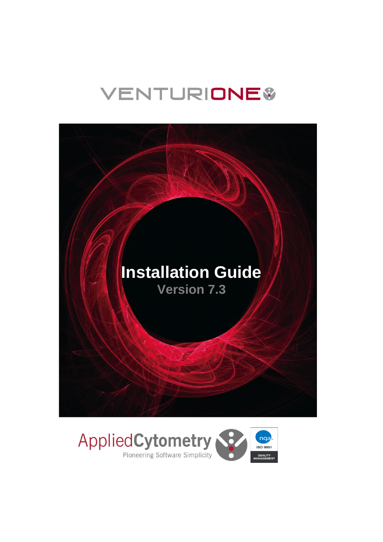# **VENTURIONE®**



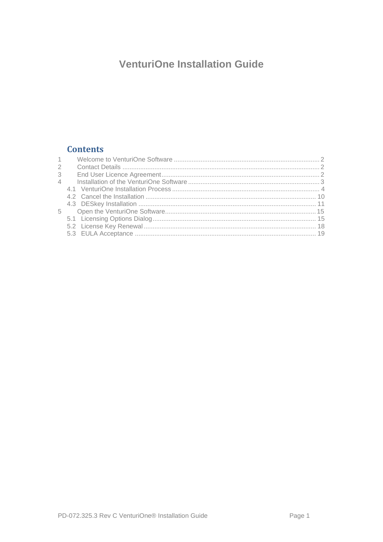## **VenturiOne Installation Guide**

## **Contents**

| $\sim$         |  |
|----------------|--|
| 2              |  |
| 3              |  |
| $\overline{4}$ |  |
|                |  |
|                |  |
|                |  |
| 5              |  |
|                |  |
|                |  |
|                |  |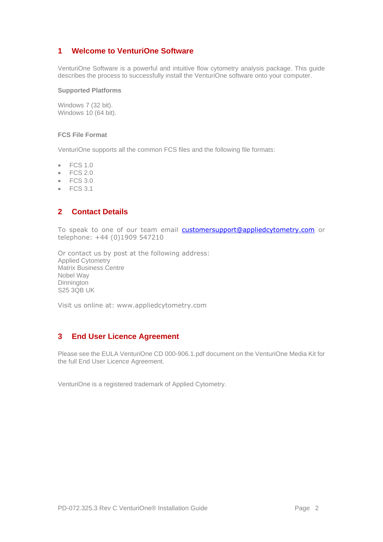#### <span id="page-2-0"></span>**1 Welcome to VenturiOne Software**

VenturiOne Software is a powerful and intuitive flow cytometry analysis package. This guide describes the process to successfully install the VenturiOne software onto your computer.

#### **Supported Platforms**

Windows 7 (32 bit). Windows 10 (64 bit).

#### **FCS File Format**

VenturiOne supports all the common FCS files and the following file formats:

- FCS 1.0
- FCS 2.0
- FCS 3.0
- $\bullet$  FCS 3.1

#### <span id="page-2-1"></span>**2 Contact Details**

To speak to one of our team email [customersupport@appliedcytometry.com](mailto:customersupport@appliedcytometry.com) or telephone: +44 (0)1909 547210

Or contact us by post at the following address: Applied Cytometry Matrix Business Centre Nobel Way **Dinnington S25 3QB UK** 

Visit us online at: [www.appliedcytometry.com](http://www.appliedcytometry.com/)

### <span id="page-2-2"></span>**3 End User Licence Agreement**

Please see the EULA VenturiOne CD 000-906.1.pdf document on the VenturiOne Media Kit for the full End User Licence Agreement.

VenturiOne is a registered trademark of Applied Cytometry.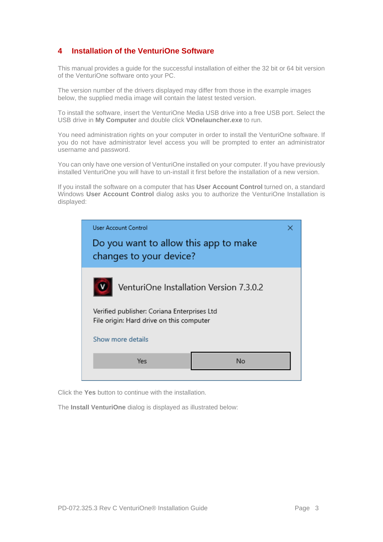## <span id="page-3-0"></span>**4 Installation of the VenturiOne Software**

This manual provides a guide for the successful installation of either the 32 bit or 64 bit version of the VenturiOne software onto your PC.

The version number of the drivers displayed may differ from those in the example images below, the supplied media image will contain the latest tested version.

To install the software, insert the VenturiOne Media USB drive into a free USB port. Select the USB drive in **My Computer** and double click **VOnelauncher.exe** to run.

You need administration rights on your computer in order to install the VenturiOne software. If you do not have administrator level access you will be prompted to enter an administrator username and password.

You can only have one version of VenturiOne installed on your computer. If you have previously installed VenturiOne you will have to un-install it first before the installation of a new version.

If you install the software on a computer that has **User Account Control** turned on, a standard Windows **User Account Control** dialog asks you to authorize the VenturiOne Installation is displayed:



Click the **Yes** button to continue with the installation.

The **Install VenturiOne** dialog is displayed as illustrated below: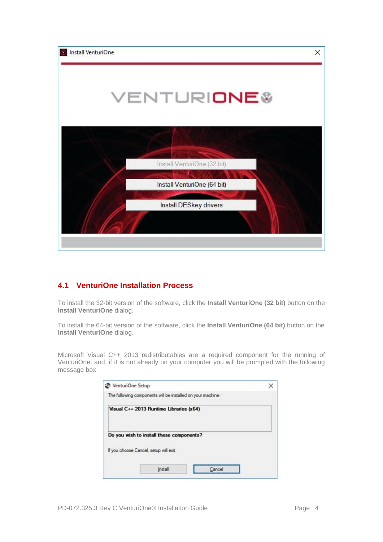

#### <span id="page-4-0"></span>**4.1 VenturiOne Installation Process**

To install the 32-bit version of the software, click the **Install VenturiOne (32 bit)** button on the **Install VenturiOne** dialog.

To install the 64-bit version of the software, click the **Install VenturiOne (64 bit)** button on the **Install VenturiOne** dialog.

Microsoft Visual C++ 2013 redistributables are a required component for the running of VenturiOne. and, if it is not already on your computer you will be prompted with the following message box

| VenturiOne Setup                                            |  |
|-------------------------------------------------------------|--|
| The following components will be installed on your machine: |  |
| Visual C++ 2013 Runtime Libraries (x64)                     |  |
| Do you wish to install these components?                    |  |
| If you choose Cancel, setup will ext.                       |  |
| Instal<br><b>SILVER</b>                                     |  |
|                                                             |  |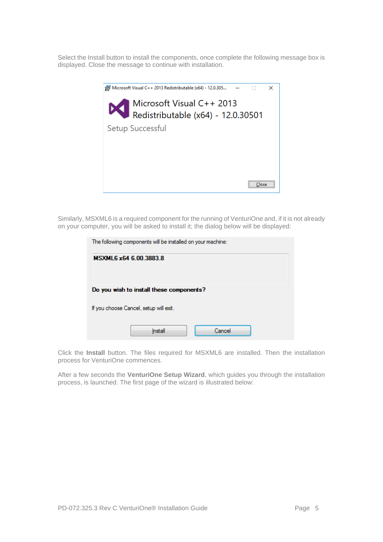Select the Install button to install the components, once complete the following message box is displayed. Close the message to continue with installation.



Similarly, MSXML6 is a required component for the running of VenturiOne and, if it is not already on your computer, you will be asked to install it; the dialog below will be displayed:

| The following components will be installed on your machine: |  |  |  |  |
|-------------------------------------------------------------|--|--|--|--|
| MSXML6 x64 6.00.3883.8                                      |  |  |  |  |
|                                                             |  |  |  |  |
| Do you wish to install these components?                    |  |  |  |  |
| If you choose Cancel, setup will exit.                      |  |  |  |  |
| Cancel<br>Install                                           |  |  |  |  |

Click the **Install** button. The files required for MSXML6 are installed. Then the installation process for VenturiOne commences.

After a few seconds the **VenturiOne Setup Wizard**, which guides you through the installation process, is launched. The first page of the wizard is illustrated below: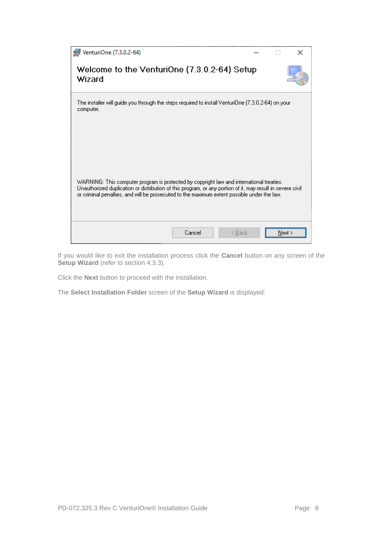| VenturiOne (7.3.0.2-64)                                                                                                                                                                                                                                                                               |        | × |
|-------------------------------------------------------------------------------------------------------------------------------------------------------------------------------------------------------------------------------------------------------------------------------------------------------|--------|---|
| Welcome to the VenturiOne (7.3.0.2-64) Setup<br>Wizard                                                                                                                                                                                                                                                |        |   |
| The installer will guide you through the steps required to install VenturiOne (7.3.0.2-64) on your<br>computer.                                                                                                                                                                                       |        |   |
| WARNING: This computer program is protected by copyright law and international treaties.<br>Unauthorized duplication or distribution of this program, or any portion of it, may result in severe civil<br>or criminal penalties, and will be prosecuted to the maximum extent possible under the law. |        |   |
| Cancel<br>< Back                                                                                                                                                                                                                                                                                      | Next > |   |

If you would like to exit the installation process click the **Cancel** button on any screen of the **Setup Wizard** (refer to section [4.3.3\)](#page-14-0).

Click the **Next** button to proceed with the installation.

The **Select Installation Folder** screen of the **Setup Wizard** is displayed: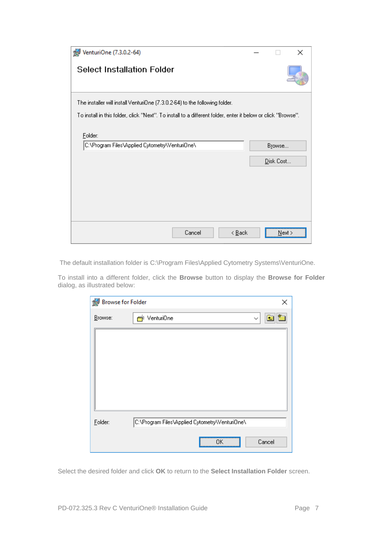| VenturiOne (7.3.0.2-64)                                                                                      |           | $\times$ |
|--------------------------------------------------------------------------------------------------------------|-----------|----------|
| <b>Select Installation Folder</b>                                                                            |           |          |
| The installer will install VenturiOne (7.3.0.2-64) to the following folder.                                  |           |          |
| To install in this folder, click "Next". To install to a different folder, enter it below or click "Browse". |           |          |
| Folder:<br>C:\Program Files\Applied Cytometry\Venturi0ne\                                                    | Browse    |          |
|                                                                                                              | Disk Cost |          |
|                                                                                                              |           |          |
|                                                                                                              |           |          |
|                                                                                                              |           |          |
|                                                                                                              |           |          |
| Cancel<br>< <u>B</u> ack                                                                                     | Next >    |          |

The default installation folder is C:\Program Files\Applied Cytometry Systems\VenturiOne.

To install into a different folder, click the **Browse** button to display the **Browse for Folder**  dialog, as illustrated below:

| Browse for Folder |                                                | ×            |
|-------------------|------------------------------------------------|--------------|
| Browse:           | rriventuri0ne                                  | $\checkmark$ |
|                   |                                                |              |
| Folder:           | C:\Program Files\Applied Cytometry\Venturi0ne\ |              |
|                   | ΠK<br>                                         | Cancel       |

Select the desired folder and click **OK** to return to the **Select Installation Folder** screen.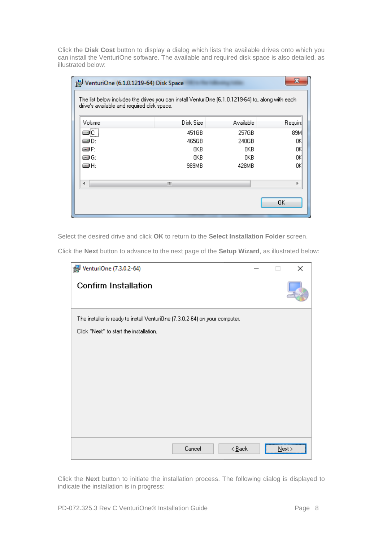Click the **Disk Cost** button to display a dialog which lists the available drives onto which you can install the VenturiOne software. The available and required disk space is also detailed, as illustrated below:

| x<br>VenturiOne (6.1.0.1219-64) Disk Space                                                                                                      |           |           |         |  |  |  |  |
|-------------------------------------------------------------------------------------------------------------------------------------------------|-----------|-----------|---------|--|--|--|--|
| The list below includes the drives you can install VenturiOne (6.1.0.1219-64) to, along with each<br>drive's available and required disk space. |           |           |         |  |  |  |  |
|                                                                                                                                                 |           |           |         |  |  |  |  |
| Volume                                                                                                                                          | Disk Size | Available | Require |  |  |  |  |
|                                                                                                                                                 | 451GB     | 257GB     | 89M     |  |  |  |  |
| ⊒D∶                                                                                                                                             | 465GB     | 240GB     | ΟK      |  |  |  |  |
| ær                                                                                                                                              | 0KB       | 0KB       | ΟK      |  |  |  |  |
| æG:                                                                                                                                             | 0KB       | OKB.      | ΟK      |  |  |  |  |
| @H:                                                                                                                                             | 989MB     | 428MB     | ΟK      |  |  |  |  |
|                                                                                                                                                 | Ш         |           |         |  |  |  |  |
| OΚ                                                                                                                                              |           |           |         |  |  |  |  |
|                                                                                                                                                 |           |           |         |  |  |  |  |

Select the desired drive and click **OK** to return to the **Select Installation Folder** screen.

Click the **Next** button to advance to the next page of the **Setup Wizard**, as illustrated below:

| VenturiOne (7.3.0.2-64)                                                     |        |                            |      | × |
|-----------------------------------------------------------------------------|--------|----------------------------|------|---|
| <b>Confirm Installation</b>                                                 |        |                            |      |   |
| The installer is ready to install VenturiOne (7.3.0.2-64) on your computer. |        |                            |      |   |
| Click "Next" to start the installation.                                     |        |                            |      |   |
|                                                                             |        |                            |      |   |
|                                                                             |        |                            |      |   |
|                                                                             |        |                            |      |   |
|                                                                             |        |                            |      |   |
|                                                                             |        |                            |      |   |
|                                                                             |        |                            |      |   |
|                                                                             |        |                            |      |   |
|                                                                             | Cancel | $\leq$ $\underline{B}$ ack | Next |   |

Click the **Next** button to initiate the installation process. The following dialog is displayed to indicate the installation is in progress: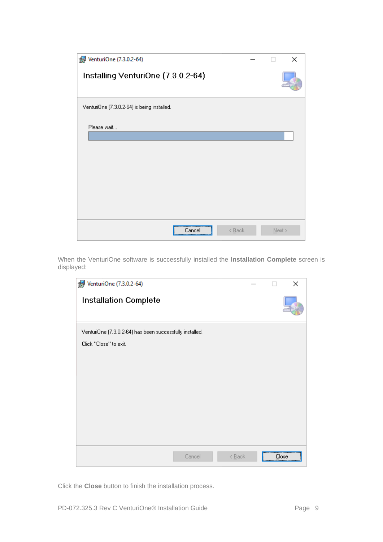| VenturiOne (7.3.0.2-64)                     |                            | ×         |
|---------------------------------------------|----------------------------|-----------|
| Installing VenturiOne (7.3.0.2-64)          |                            |           |
| VenturiOne (7.3.0.2-64) is being installed. |                            |           |
| Please wait                                 |                            |           |
| Cancel                                      | $\leq$ $\underline{B}$ ack | $N$ ext > |

When the VenturiOne software is successfully installed the **Installation Complete** screen is displayed:



Click the **Close** button to finish the installation process.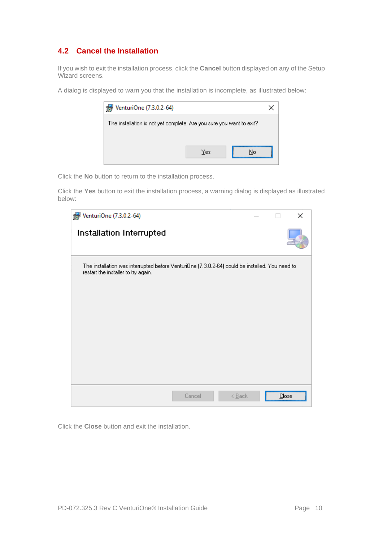## <span id="page-10-0"></span>**4.2 Cancel the Installation**

If you wish to exit the installation process, click the **Cancel** button displayed on any of the Setup Wizard screens.

A dialog is displayed to warn you that the installation is incomplete, as illustrated below:

| VenturiOne (7.3.0.2-64)                                              |     |    |
|----------------------------------------------------------------------|-----|----|
| The installation is not yet complete. Are you sure you want to exit? |     |    |
|                                                                      |     |    |
|                                                                      | Yes | No |
|                                                                      |     |    |

Click the **No** button to return to the installation process.

Click the **Yes** button to exit the installation process, a warning dialog is displayed as illustrated below:

| VenturiOne (7.3.0.2-64)                                                                                                                |  | $\times$ |
|----------------------------------------------------------------------------------------------------------------------------------------|--|----------|
| Installation Interrupted                                                                                                               |  |          |
| The installation was interrupted before VenturiOne (7.3.0.2-64) could be installed. You need to<br>restart the installer to try again. |  |          |
|                                                                                                                                        |  |          |
|                                                                                                                                        |  |          |
|                                                                                                                                        |  |          |
|                                                                                                                                        |  |          |
| Cancel<br>$\leq$ Back                                                                                                                  |  | Close    |

Click the **Close** button and exit the installation.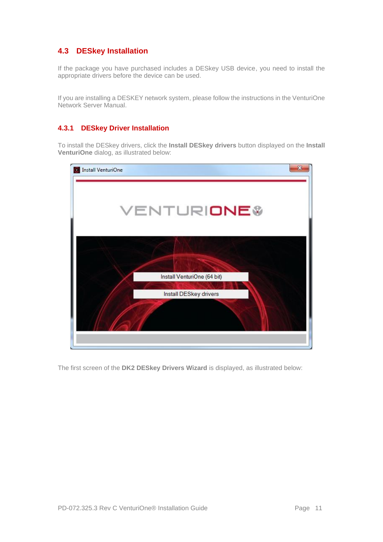## <span id="page-11-0"></span>**4.3 DESkey Installation**

If the package you have purchased includes a DESkey USB device, you need to install the appropriate drivers before the device can be used.

If you are installing a DESKEY network system, please follow the instructions in the VenturiOne Network Server Manual.

#### **4.3.1 DESkey Driver Installation**

To install the DESkey drivers, click the **Install DESkey drivers** button displayed on the **Install VenturiOne** dialog, as illustrated below:



The first screen of the **DK2 DESkey Drivers Wizard** is displayed, as illustrated below: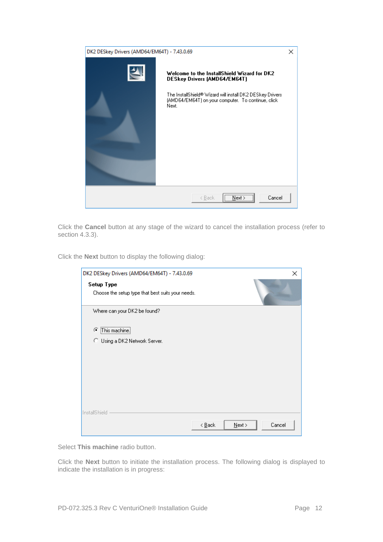| DK2 DESkey Drivers (AMD64/EM64T) - 7.43.0.69 |                                                                                                                                                                                                                | × |
|----------------------------------------------|----------------------------------------------------------------------------------------------------------------------------------------------------------------------------------------------------------------|---|
| 스.                                           | Welcome to the InstallShield Wizard for DK2<br><b>DESkey Drivers (AMD64/EM64T)</b><br>The InstallShield® Wizard will install DK2 DESkey Drivers<br>(AMD64/EM64T) on your computer. To continue, click<br>Next. |   |
|                                              | $\sqrt{\frac{N}{N}}$<br>Cancel<br>< Back                                                                                                                                                                       |   |

Click the **Cancel** button at any stage of the wizard to cancel the installation process (refer to section [4.3.3\)](#page-14-0).

Click the **Next** button to display the following dialog:

| DK2 DESkey Drivers (AMD64/EM64T) - 7.43.0.69                    |                                         | ×      |
|-----------------------------------------------------------------|-----------------------------------------|--------|
| Setup Type<br>Choose the setup type that best suits your needs. |                                         |        |
| Where can your DK2 be found?                                    |                                         |        |
| C This machine.                                                 |                                         |        |
| C Using a DK2 Network Server.                                   |                                         |        |
|                                                                 |                                         |        |
|                                                                 |                                         |        |
|                                                                 |                                         |        |
|                                                                 |                                         |        |
| InstallShield                                                   |                                         |        |
|                                                                 | $N$ ext ><br>$\leq$ $\underline{B}$ ack | Cancel |

Select **This machine** radio button.

Click the **Next** button to initiate the installation process. The following dialog is displayed to indicate the installation is in progress: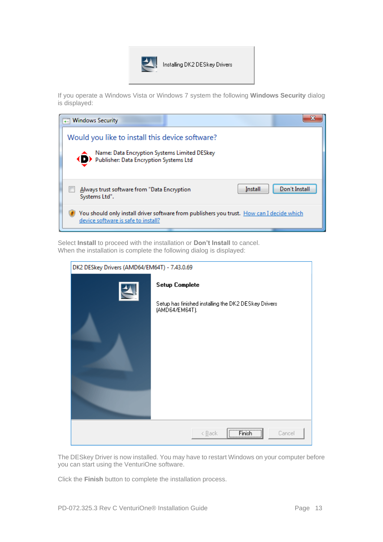

If you operate a Windows Vista or Windows 7 system the following **Windows Security** dialog is displayed:

| → Windows Security                                                                                                                            |         |               |
|-----------------------------------------------------------------------------------------------------------------------------------------------|---------|---------------|
| Would you like to install this device software?<br>Name: Data Encryption Systems Limited DESkey<br>◆ D Publisher: Data Encryption Systems Ltd |         |               |
| Always trust software from "Data Encryption"<br>Systems Ltd".                                                                                 | Install | Don't Install |
| You should only install driver software from publishers you trust. How can I decide which<br>device software is safe to install?              |         |               |

Select **Install** to proceed with the installation or **Don't Install** to cancel. When the installation is complete the following dialog is displayed:

| DK2 DESkey Drivers (AMD64/EM64T) - 7.43.0.69 |                                                                                                 |  |
|----------------------------------------------|-------------------------------------------------------------------------------------------------|--|
| $\blacktriangle$                             | <b>Setup Complete</b><br>Setup has finished installing the DK2 DESkey Drivers<br>(AMD64/EM64T). |  |
|                                              | $(T \text{ Finish})$<br>< <u>B</u> ack<br>Cancel                                                |  |

The DESkey Driver is now installed. You may have to restart Windows on your computer before you can start using the VenturiOne software.

Click the **Finish** button to complete the installation process.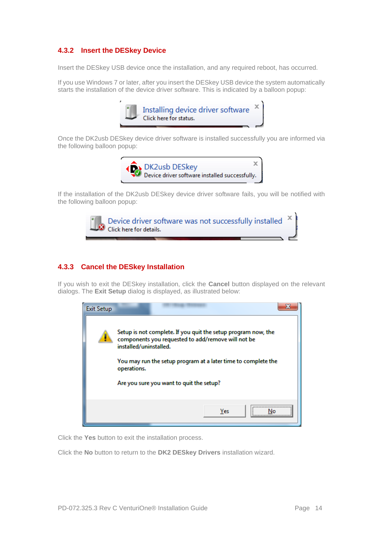#### **4.3.2 Insert the DESkey Device**

Insert the DESkey USB device once the installation, and any required reboot, has occurred.

If you use Windows 7 or later, after you insert the DESkey USB device the system automatically starts the installation of the device driver software. This is indicated by a balloon popup:



Once the DK2usb DESkey device driver software is installed successfully you are informed via the following balloon popup:



If the installation of the DK2usb DESkey device driver software fails, you will be notified with the following balloon popup:



#### <span id="page-14-0"></span>**4.3.3 Cancel the DESkey Installation**

If you wish to exit the DESkey installation, click the **Cancel** button displayed on the relevant dialogs. The **Exit Setup** dialog is displayed, as illustrated below:



Click the **Yes** button to exit the installation process.

Click the **No** button to return to the **DK2 DESkey Drivers** installation wizard.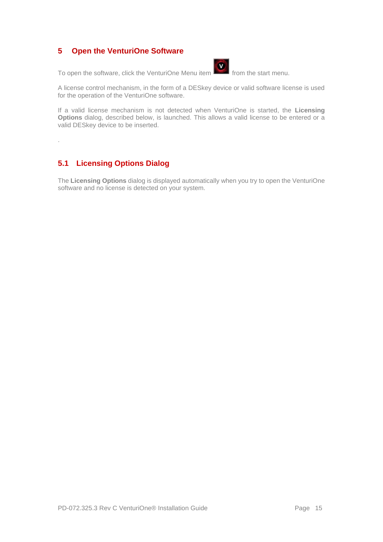### <span id="page-15-0"></span>**5 Open the VenturiOne Software**

To open the software, click the VenturiOne Menu item from the start menu.



A license control mechanism, in the form of a DESkey device or valid software license is used for the operation of the VenturiOne software.

If a valid license mechanism is not detected when VenturiOne is started, the **Licensing Options** dialog, described below, is launched. This allows a valid license to be entered or a valid DESkey device to be inserted.

.

## <span id="page-15-1"></span>**5.1 Licensing Options Dialog**

The **Licensing Options** dialog is displayed automatically when you try to open the VenturiOne software and no license is detected on your system.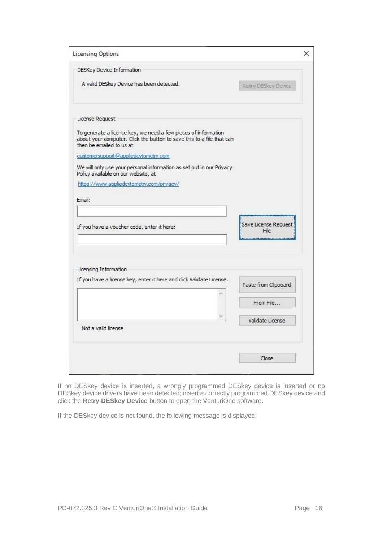| <b>Licensing Options</b>                                                                                                                                            | ×                            |
|---------------------------------------------------------------------------------------------------------------------------------------------------------------------|------------------------------|
| DESKey Device Information                                                                                                                                           |                              |
| A valid DESkey Device has been detected.                                                                                                                            | Retry DESkey Device          |
| License Request                                                                                                                                                     |                              |
| To generate a licence key, we need a few pieces of information<br>about your computer. Click the button to save this to a file that can<br>then be emailed to us at |                              |
| customersupport@appliedcytometry.com                                                                                                                                |                              |
| We will only use your personal information as set out in our Privacy<br>Policy available on our website, at                                                         |                              |
| https://www.appliedcytometry.com/privacy/                                                                                                                           |                              |
| Email:                                                                                                                                                              |                              |
|                                                                                                                                                                     |                              |
| If you have a voucher code, enter it here:                                                                                                                          | Save License Request<br>File |
| Licensing Information                                                                                                                                               |                              |
| If you have a license key, enter it here and click Validate License.                                                                                                | Paste from Clipboard         |
|                                                                                                                                                                     |                              |
|                                                                                                                                                                     | From File                    |
|                                                                                                                                                                     | Validate License             |
| Not a valid license                                                                                                                                                 |                              |

If no DESkey device is inserted, a wrongly programmed DESkey device is inserted or no DESkey device drivers have been detected; insert a correctly programmed DESkey device and click the **Retry DESkey Device** button to open the VenturiOne software.

If the DESkey device is not found, the following message is displayed: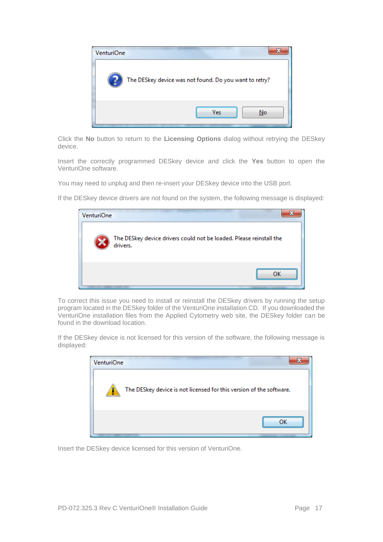

Click the **No** button to return to the **Licensing Options** dialog without retrying the DESkey device.

Insert the correctly programmed DESkey device and click the **Yes** button to open the VenturiOne software.

You may need to unplug and then re-insert your DESkey device into the USB port.

If the DESkey device drivers are not found on the system, the following message is displayed:

| <b>VenturiOne</b> |                                                                                 |
|-------------------|---------------------------------------------------------------------------------|
|                   | The DESkey device drivers could not be loaded. Please reinstall the<br>drivers. |
|                   |                                                                                 |

To correct this issue you need to install or reinstall the DESkey drivers by running the setup program located in the DESkey folder of the VenturiOne installation CD. If you downloaded the VenturiOne installation files from the Applied Cytometry web site, the DESkey folder can be found in the download location.

If the DESkey device is not licensed for this version of the software, the following message is displayed:

| VenturiOne                                                               |  |
|--------------------------------------------------------------------------|--|
| The DESkey device is not licensed for this version of the software.<br>٠ |  |
|                                                                          |  |

Insert the DESkey device licensed for this version of VenturiOne.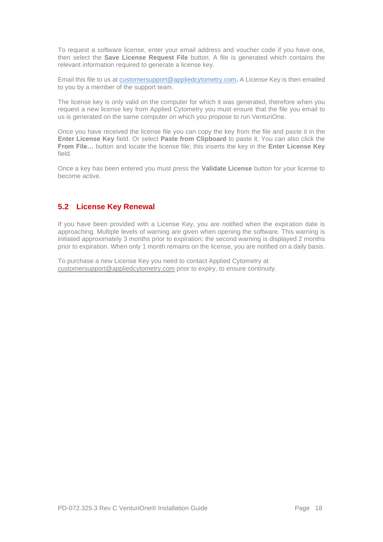To request a software license, enter your email address and voucher code if you have one, then select the **Save License Request File** button. A file is generated which contains the relevant information required to generate a license key.

Email this file to us at [customersupport@appliedcytometry.com](mailto:customersupport@appliedcytometry.com)**.** A License Key is then emailed to you by a member of the support team.

The license key is only valid on the computer for which it was generated, therefore when you request a new license key from Applied Cytometry you must ensure that the file you email to us is generated on the same computer on which you propose to run VenturiOne.

Once you have received the license file you can copy the key from the file and paste it in the **Enter License Key** field. Or select **Paste from Clipboard** to paste it. You can also click the **From File…** button and locate the license file; this inserts the key in the **Enter License Key**  field.

Once a key has been entered you must press the **Validate License** button for your license to become active.

#### <span id="page-18-0"></span>**5.2 License Key Renewal**

If you have been provided with a License Key, you are notified when the expiration date is approaching. Multiple levels of warning are given when opening the software. This warning is initiated approximately 3 months prior to expiration; the second warning is displayed 2 months prior to expiration. When only 1 month remains on the license, you are notified on a daily basis.

To purchase a new License Key you need to contact Applied Cytometry at [customersupport@appliedcytometry.com](mailto:customersupport@appliedcytometry.com) prior to expiry, to ensure continuity.